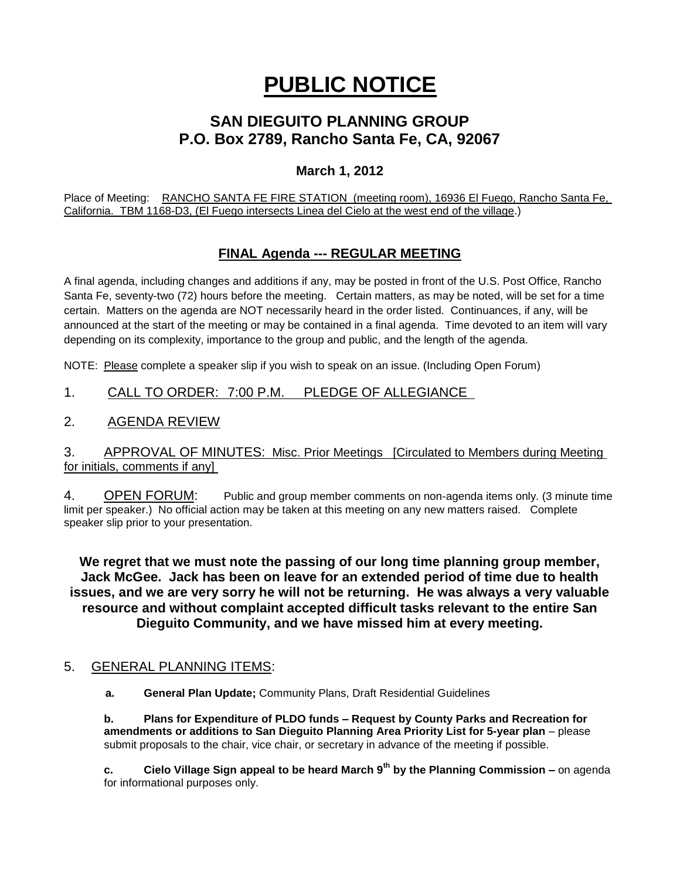# **PUBLIC NOTICE**

## **SAN DIEGUITO PLANNING GROUP P.O. Box 2789, Rancho Santa Fe, CA, 92067**

## **March 1, 2012**

Place of Meeting: RANCHO SANTA FE FIRE STATION (meeting room), 16936 El Fuego, Rancho Santa Fe, California. TBM 1168-D3, (El Fuego intersects Linea del Cielo at the west end of the village.)

## **FINAL Agenda --- REGULAR MEETING**

A final agenda, including changes and additions if any, may be posted in front of the U.S. Post Office, Rancho Santa Fe, seventy-two (72) hours before the meeting. Certain matters, as may be noted, will be set for a time certain. Matters on the agenda are NOT necessarily heard in the order listed. Continuances, if any, will be announced at the start of the meeting or may be contained in a final agenda. Time devoted to an item will vary depending on its complexity, importance to the group and public, and the length of the agenda.

NOTE: Please complete a speaker slip if you wish to speak on an issue. (Including Open Forum)

## 1. CALL TO ORDER: 7:00 P.M. PLEDGE OF ALLEGIANCE

## 2. AGENDA REVIEW

#### 3. APPROVAL OF MINUTES: Misc. Prior Meetings [Circulated to Members during Meeting for initials, comments if any]

4. OPEN FORUM: Public and group member comments on non-agenda items only. (3 minute time limit per speaker.) No official action may be taken at this meeting on any new matters raised. Complete speaker slip prior to your presentation.

**We regret that we must note the passing of our long time planning group member, Jack McGee. Jack has been on leave for an extended period of time due to health issues, and we are very sorry he will not be returning. He was always a very valuable resource and without complaint accepted difficult tasks relevant to the entire San Dieguito Community, and we have missed him at every meeting.**

## 5. GENERAL PLANNING ITEMS:

 **a. General Plan Update;** Community Plans, Draft Residential Guidelines

**b. Plans for Expenditure of PLDO funds – Request by County Parks and Recreation for amendments or additions to San Dieguito Planning Area Priority List for 5-year plan** – please submit proposals to the chair, vice chair, or secretary in advance of the meeting if possible.

**c. Cielo Village Sign appeal to be heard March 9th by the Planning Commission –** on agenda for informational purposes only.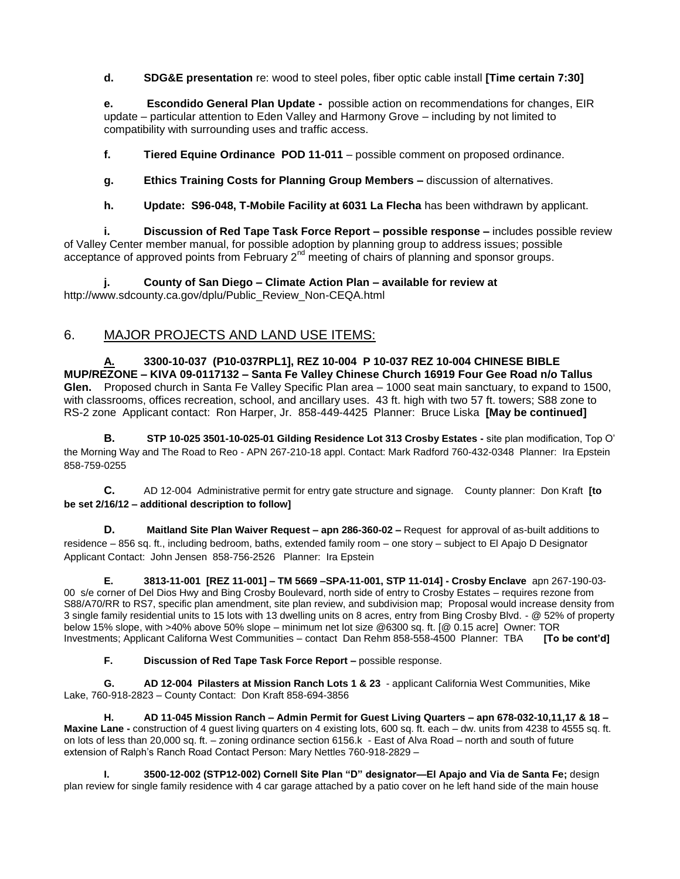**d. SDG&E presentation** re: wood to steel poles, fiber optic cable install **[Time certain 7:30]**

**e. Escondido General Plan Update -** possible action on recommendations for changes, EIR update – particular attention to Eden Valley and Harmony Grove – including by not limited to compatibility with surrounding uses and traffic access.

**f. Tiered Equine Ordinance POD 11-011** – possible comment on proposed ordinance.

**g. Ethics Training Costs for Planning Group Members –** discussion of alternatives.

**h. Update: S96-048, T-Mobile Facility at 6031 La Flecha** has been withdrawn by applicant.

**i. Discussion of Red Tape Task Force Report – possible response –** includes possible review of Valley Center member manual, for possible adoption by planning group to address issues; possible acceptance of approved points from February  $2^{nd}$  meeting of chairs of planning and sponsor groups.

**j. County of San Diego – Climate Action Plan – available for review at**  http://www.sdcounty.ca.gov/dplu/Public\_Review\_Non-CEQA.html

## 6. MAJOR PROJECTS AND LAND USE ITEMS:

**A. 3300-10-037 (P10-037RPL1], REZ 10-004 P 10-037 REZ 10-004 CHINESE BIBLE MUP/REZONE – KIVA 09-0117132 – Santa Fe Valley Chinese Church 16919 Four Gee Road n/o Tallus Glen.** Proposed church in Santa Fe Valley Specific Plan area – 1000 seat main sanctuary, to expand to 1500, with classrooms, offices recreation, school, and ancillary uses. 43 ft. high with two 57 ft. towers; S88 zone to RS-2 zone Applicant contact: Ron Harper, Jr. 858-449-4425 Planner: Bruce Liska **[May be continued]**

**B. STP 10-025 3501-10-025-01 Gilding Residence Lot 313 Crosby Estates -** site plan modification, Top O' the Morning Way and The Road to Reo - APN 267-210-18 appl. Contact: Mark Radford 760-432-0348 Planner: Ira Epstein 858-759-0255

**C.** AD 12-004 Administrative permit for entry gate structure and signage. County planner: Don Kraft **[to be set 2/16/12 – additional description to follow]**

**D. Maitland Site Plan Waiver Request – apn 286-360-02 –** Request for approval of as-built additions to residence – 856 sq. ft., including bedroom, baths, extended family room – one story – subject to El Apajo D Designator Applicant Contact: John Jensen 858-756-2526 Planner: Ira Epstein

**E. 3813-11-001 [REZ 11-001] – TM 5669 –SPA-11-001, STP 11-014] - Crosby Enclave** apn 267-190-03- 00 s/e corner of Del Dios Hwy and Bing Crosby Boulevard, north side of entry to Crosby Estates – requires rezone from S88/A70/RR to RS7, specific plan amendment, site plan review, and subdivision map; Proposal would increase density from 3 single family residential units to 15 lots with 13 dwelling units on 8 acres, entry from Bing Crosby Blvd. - @ 52% of property below 15% slope, with >40% above 50% slope – minimum net lot size @6300 sq. ft. [@ 0.15 acre] Owner: TOR Investments; Applicant Californa West Communities – contact Dan Rehm 858-558-4500 Planner: TBA **[To be cont'd]**

**F. Discussion of Red Tape Task Force Report –** possible response.

**G. AD 12-004 Pilasters at Mission Ranch Lots 1 & 23** - applicant California West Communities, Mike Lake, 760-918-2823 – County Contact: Don Kraft 858-694-3856

**H. AD 11-045 Mission Ranch – Admin Permit for Guest Living Quarters – apn 678-032-10,11,17 & 18 – Maxine Lane -** construction of 4 guest living quarters on 4 existing lots, 600 sq. ft. each – dw. units from 4238 to 4555 sq. ft. on lots of less than 20,000 sq. ft. – zoning ordinance section 6156.k - East of Alva Road – north and south of future extension of Ralph's Ranch Road Contact Person: Mary Nettles 760-918-2829 –

**I. 3500-12-002 (STP12-002) Cornell Site Plan "D" designator—El Apajo and Via de Santa Fe; design** plan review for single family residence with 4 car garage attached by a patio cover on he left hand side of the main house